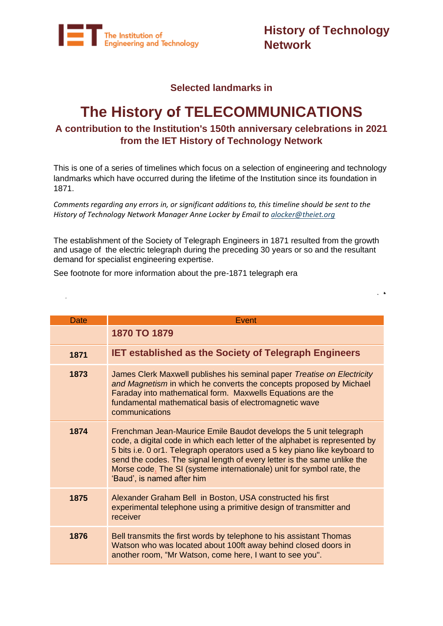

**History of Technology Network**

 $\ddot{\phantom{1}}$ 

#### **Selected landmarks in**

# **The History of TELECOMMUNICATIONS**

#### **A contribution to the Institution's 150th anniversary celebrations in 2021 from the IET History of Technology Network**

This is one of a series of timelines which focus on a selection of engineering and technology landmarks which have occurred during the lifetime of the Institution since its foundation in 1871.

*Comments regarding any errors in, or significant additions to, this timeline should be sent to the History of Technology Network Manager Anne Locker by Email to [alocker@theiet.org](mailto:alocker@theiet.org)*

The establishment of the Society of Telegraph Engineers in 1871 resulted from the growth and usage of the electric telegraph during the preceding 30 years or so and the resultant demand for specialist engineering expertise.

See footnote for more information about the pre-1871 telegraph era

 $\ddot{\phantom{a}}$ 

| Date | Event                                                                                                                                                                                                                                                                                                                                                                                                             |
|------|-------------------------------------------------------------------------------------------------------------------------------------------------------------------------------------------------------------------------------------------------------------------------------------------------------------------------------------------------------------------------------------------------------------------|
|      | 1870 TO 1879                                                                                                                                                                                                                                                                                                                                                                                                      |
| 1871 | <b>IET established as the Society of Telegraph Engineers</b>                                                                                                                                                                                                                                                                                                                                                      |
| 1873 | James Clerk Maxwell publishes his seminal paper Treatise on Electricity<br>and Magnetism in which he converts the concepts proposed by Michael<br>Faraday into mathematical form. Maxwells Equations are the<br>fundamental mathematical basis of electromagnetic wave<br>communications                                                                                                                          |
| 1874 | Frenchman Jean-Maurice Emile Baudot develops the 5 unit telegraph<br>code, a digital code in which each letter of the alphabet is represented by<br>5 bits i.e. 0 or1. Telegraph operators used a 5 key piano like keyboard to<br>send the codes. The signal length of every letter is the same unlike the<br>Morse code. The SI (systeme internationale) unit for symbol rate, the<br>'Baud', is named after him |
| 1875 | Alexander Graham Bell in Boston, USA constructed his first<br>experimental telephone using a primitive design of transmitter and<br>receiver                                                                                                                                                                                                                                                                      |
| 1876 | Bell transmits the first words by telephone to his assistant Thomas<br>Watson who was located about 100ft away behind closed doors in<br>another room, "Mr Watson, come here, I want to see you".                                                                                                                                                                                                                 |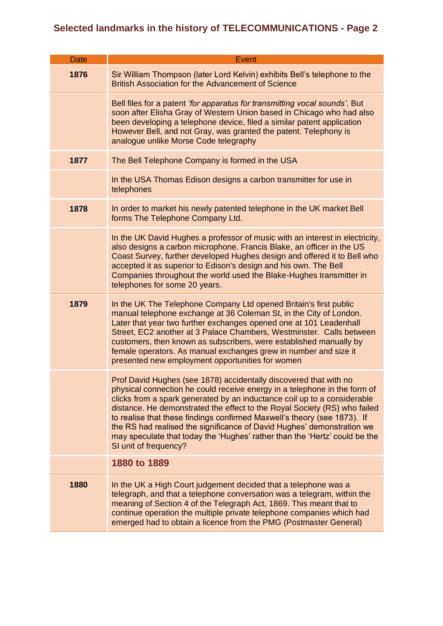| <b>Date</b> | Event                                                                                                                                                 |
|-------------|-------------------------------------------------------------------------------------------------------------------------------------------------------|
|             |                                                                                                                                                       |
| 1876        | Sir William Thompson (later Lord Kelvin) exhibits Bell's telephone to the<br>British Association for the Advancement of Science                       |
|             | Bell files for a patent 'for apparatus for transmitting vocal sounds'. But                                                                            |
|             | soon after Elisha Gray of Western Union based in Chicago who had also<br>been developing a telephone device, filed a similar patent application       |
|             | However Bell, and not Gray, was granted the patent. Telephony is<br>analogue unlike Morse Code telegraphy                                             |
| 1877        | The Bell Telephone Company is formed in the USA                                                                                                       |
|             | In the USA Thomas Edison designs a carbon transmitter for use in<br>telephones                                                                        |
| 1878        | In order to market his newly patented telephone in the UK market Bell<br>forms The Telephone Company Ltd.                                             |
|             | In the UK David Hughes a professor of music with an interest in electricity,                                                                          |
|             | also designs a carbon microphone. Francis Blake, an officer in the US<br>Coast Survey, further developed Hughes design and offered it to Bell who     |
|             | accepted it as superior to Edison's design and his own. The Bell                                                                                      |
|             | Companies throughout the world used the Blake-Hughes transmitter in                                                                                   |
|             | telephones for some 20 years.                                                                                                                         |
| 1879        | In the UK The Telephone Company Ltd opened Britain's first public                                                                                     |
|             | manual telephone exchange at 36 Coleman St, in the City of London.<br>Later that year two further exchanges opened one at 101 Leadenhall              |
|             | Street, EC2 another at 3 Palace Chambers, Westminster. Calls between                                                                                  |
|             | customers, then known as subscribers, were established manually by<br>female operators. As manual exchanges grew in number and size it                |
|             | presented new employment opportunities for women                                                                                                      |
|             | Prof David Hughes (see 1878) accidentally discovered that with no                                                                                     |
|             | physical connection he could receive energy in a telephone in the form of                                                                             |
|             | clicks from a spark generated by an inductance coil up to a considerable<br>distance. He demonstrated the effect to the Royal Society (RS) who failed |
|             | to realise that these findings confirmed Maxwell's theory (see 1873). If                                                                              |
|             | the RS had realised the significance of David Hughes' demonstration we<br>may speculate that today the 'Hughes' rather than the 'Hertz' could be the  |
|             | SI unit of frequency?                                                                                                                                 |
|             | 1880 to 1889                                                                                                                                          |
| 1880        | In the UK a High Court judgement decided that a telephone was a                                                                                       |
|             | telegraph, and that a telephone conversation was a telegram, within the<br>meaning of Section 4 of the Telegraph Act, 1869. This meant that to        |
|             | continue operation the multiple private telephone companies which had                                                                                 |
|             | emerged had to obtain a licence from the PMG (Postmaster General)                                                                                     |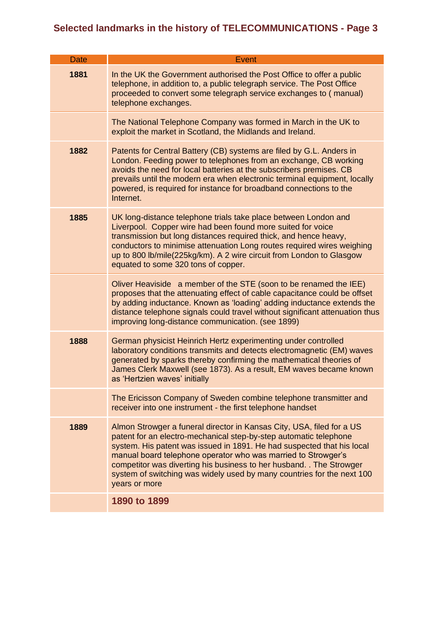| <b>Date</b> | <b>Event</b>                                                                                                                                                                                                                                                                                                                                                                                                                                           |
|-------------|--------------------------------------------------------------------------------------------------------------------------------------------------------------------------------------------------------------------------------------------------------------------------------------------------------------------------------------------------------------------------------------------------------------------------------------------------------|
| 1881        | In the UK the Government authorised the Post Office to offer a public<br>telephone, in addition to, a public telegraph service. The Post Office<br>proceeded to convert some telegraph service exchanges to (manual)<br>telephone exchanges.                                                                                                                                                                                                           |
|             | The National Telephone Company was formed in March in the UK to<br>exploit the market in Scotland, the Midlands and Ireland.                                                                                                                                                                                                                                                                                                                           |
| 1882        | Patents for Central Battery (CB) systems are filed by G.L. Anders in<br>London. Feeding power to telephones from an exchange, CB working<br>avoids the need for local batteries at the subscribers premises. CB<br>prevails until the modern era when electronic terminal equipment, locally<br>powered, is required for instance for broadband connections to the<br>Internet.                                                                        |
| 1885        | UK long-distance telephone trials take place between London and<br>Liverpool. Copper wire had been found more suited for voice<br>transmission but long distances required thick, and hence heavy,<br>conductors to minimise attenuation Long routes required wires weighing<br>up to 800 lb/mile(225kg/km). A 2 wire circuit from London to Glasgow<br>equated to some 320 tons of copper.                                                            |
|             | Oliver Heaviside a member of the STE (soon to be renamed the IEE)<br>proposes that the attenuating effect of cable capacitance could be offset<br>by adding inductance. Known as 'loading' adding inductance extends the<br>distance telephone signals could travel without significant attenuation thus<br>improving long-distance communication. (see 1899)                                                                                          |
| 1888        | German physicist Heinrich Hertz experimenting under controlled<br>laboratory conditions transmits and detects electromagnetic (EM) waves<br>generated by sparks thereby confirming the mathematical theories of<br>James Clerk Maxwell (see 1873). As a result, EM waves became known<br>as 'Hertzien waves' initially                                                                                                                                 |
|             | The Ericisson Company of Sweden combine telephone transmitter and<br>receiver into one instrument - the first telephone handset                                                                                                                                                                                                                                                                                                                        |
| 1889        | Almon Strowger a funeral director in Kansas City, USA, filed for a US<br>patent for an electro-mechanical step-by-step automatic telephone<br>system. His patent was issued in 1891. He had suspected that his local<br>manual board telephone operator who was married to Strowger's<br>competitor was diverting his business to her husband. The Strowger<br>system of switching was widely used by many countries for the next 100<br>years or more |
|             | 1890 to 1899                                                                                                                                                                                                                                                                                                                                                                                                                                           |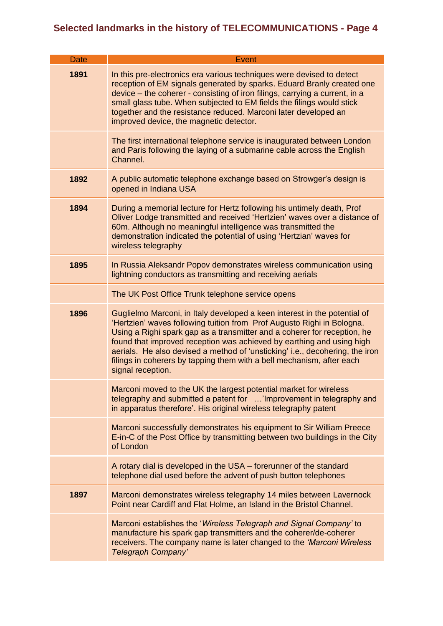| <b>Date</b> | Event                                                                                                                                                                                                                                                                                                                                                                                                                                                                                  |
|-------------|----------------------------------------------------------------------------------------------------------------------------------------------------------------------------------------------------------------------------------------------------------------------------------------------------------------------------------------------------------------------------------------------------------------------------------------------------------------------------------------|
| 1891        | In this pre-electronics era various techniques were devised to detect<br>reception of EM signals generated by sparks. Eduard Branly created one<br>device – the coherer - consisting of iron filings, carrying a current, in a<br>small glass tube. When subjected to EM fields the filings would stick<br>together and the resistance reduced. Marconi later developed an<br>improved device, the magnetic detector.                                                                  |
|             | The first international telephone service is inaugurated between London<br>and Paris following the laying of a submarine cable across the English<br>Channel.                                                                                                                                                                                                                                                                                                                          |
| 1892        | A public automatic telephone exchange based on Strowger's design is<br>opened in Indiana USA                                                                                                                                                                                                                                                                                                                                                                                           |
| 1894        | During a memorial lecture for Hertz following his untimely death, Prof<br>Oliver Lodge transmitted and received 'Hertzien' waves over a distance of<br>60m. Although no meaningful intelligence was transmitted the<br>demonstration indicated the potential of using 'Hertzian' waves for<br>wireless telegraphy                                                                                                                                                                      |
| 1895        | In Russia Aleksandr Popov demonstrates wireless communication using<br>lightning conductors as transmitting and receiving aerials                                                                                                                                                                                                                                                                                                                                                      |
|             | The UK Post Office Trunk telephone service opens                                                                                                                                                                                                                                                                                                                                                                                                                                       |
| 1896        | Guglielmo Marconi, in Italy developed a keen interest in the potential of<br>'Hertzien' waves following tuition from Prof Augusto Righi in Bologna.<br>Using a Righi spark gap as a transmitter and a coherer for reception, he<br>found that improved reception was achieved by earthing and using high<br>aerials. He also devised a method of 'unsticking' i.e., decohering, the iron<br>filings in coherers by tapping them with a bell mechanism, after each<br>signal reception. |
|             | Marconi moved to the UK the largest potential market for wireless<br>telegraphy and submitted a patent for 'Improvement in telegraphy and<br>in apparatus therefore'. His original wireless telegraphy patent                                                                                                                                                                                                                                                                          |
|             | Marconi successfully demonstrates his equipment to Sir William Preece<br>E-in-C of the Post Office by transmitting between two buildings in the City<br>of London                                                                                                                                                                                                                                                                                                                      |
|             | A rotary dial is developed in the USA – forerunner of the standard<br>telephone dial used before the advent of push button telephones                                                                                                                                                                                                                                                                                                                                                  |
| 1897        | Marconi demonstrates wireless telegraphy 14 miles between Lavernock<br>Point near Cardiff and Flat Holme, an Island in the Bristol Channel.                                                                                                                                                                                                                                                                                                                                            |
|             | Marconi establishes the 'Wireless Telegraph and Signal Company' to<br>manufacture his spark gap transmitters and the coherer/de-coherer<br>receivers. The company name is later changed to the 'Marconi Wireless<br>Telegraph Company'                                                                                                                                                                                                                                                 |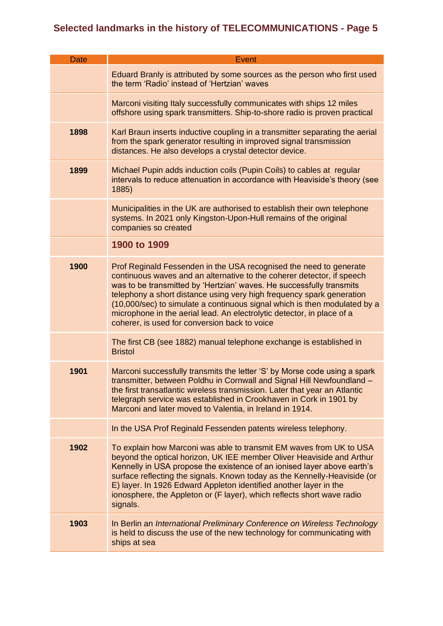| <b>Date</b> | Event                                                                                                                                                                                                                                                                                                                                                                                                                                                                                                 |
|-------------|-------------------------------------------------------------------------------------------------------------------------------------------------------------------------------------------------------------------------------------------------------------------------------------------------------------------------------------------------------------------------------------------------------------------------------------------------------------------------------------------------------|
|             | Eduard Branly is attributed by some sources as the person who first used<br>the term 'Radio' instead of 'Hertzian' waves                                                                                                                                                                                                                                                                                                                                                                              |
|             | Marconi visiting Italy successfully communicates with ships 12 miles<br>offshore using spark transmitters. Ship-to-shore radio is proven practical                                                                                                                                                                                                                                                                                                                                                    |
| 1898        | Karl Braun inserts inductive coupling in a transmitter separating the aerial<br>from the spark generator resulting in improved signal transmission<br>distances. He also develops a crystal detector device.                                                                                                                                                                                                                                                                                          |
| 1899        | Michael Pupin adds induction coils (Pupin Coils) to cables at regular<br>intervals to reduce attenuation in accordance with Heaviside's theory (see<br>1885)                                                                                                                                                                                                                                                                                                                                          |
|             | Municipalities in the UK are authorised to establish their own telephone<br>systems. In 2021 only Kingston-Upon-Hull remains of the original<br>companies so created                                                                                                                                                                                                                                                                                                                                  |
|             | 1900 to 1909                                                                                                                                                                                                                                                                                                                                                                                                                                                                                          |
| 1900        | Prof Reginald Fessenden in the USA recognised the need to generate<br>continuous waves and an alternative to the coherer detector, if speech<br>was to be transmitted by 'Hertzian' waves. He successfully transmits<br>telephony a short distance using very high frequency spark generation<br>(10,000/sec) to simulate a continuous signal which is then modulated by a<br>microphone in the aerial lead. An electrolytic detector, in place of a<br>coherer, is used for conversion back to voice |
|             | The first CB (see 1882) manual telephone exchange is established in<br><b>Bristol</b>                                                                                                                                                                                                                                                                                                                                                                                                                 |
| 1901        | Marconi successfully transmits the letter 'S' by Morse code using a spark<br>transmitter, between Poldhu in Cornwall and Signal Hill Newfoundland -<br>the first transatlantic wireless transmission. Later that year an Atlantic<br>telegraph service was established in Crookhaven in Cork in 1901 by<br>Marconi and later moved to Valentia, in Ireland in 1914.                                                                                                                                   |
|             | In the USA Prof Reginald Fessenden patents wireless telephony.                                                                                                                                                                                                                                                                                                                                                                                                                                        |
| 1902        | To explain how Marconi was able to transmit EM waves from UK to USA<br>beyond the optical horizon, UK IEE member Oliver Heaviside and Arthur<br>Kennelly in USA propose the existence of an ionised layer above earth's<br>surface reflecting the signals. Known today as the Kennelly-Heaviside (or<br>E) layer. In 1926 Edward Appleton identified another layer in the<br>ionosphere, the Appleton or (F layer), which reflects short wave radio<br>signals.                                       |
| 1903        | In Berlin an International Preliminary Conference on Wireless Technology<br>is held to discuss the use of the new technology for communicating with<br>ships at sea                                                                                                                                                                                                                                                                                                                                   |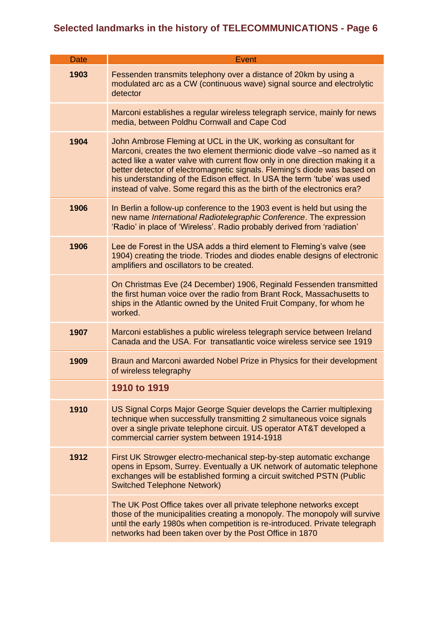| <b>Date</b> | Event                                                                                                                                                                                                                                                                                                                                                                                                                                                         |
|-------------|---------------------------------------------------------------------------------------------------------------------------------------------------------------------------------------------------------------------------------------------------------------------------------------------------------------------------------------------------------------------------------------------------------------------------------------------------------------|
| 1903        | Fessenden transmits telephony over a distance of 20km by using a<br>modulated arc as a CW (continuous wave) signal source and electrolytic<br>detector                                                                                                                                                                                                                                                                                                        |
|             | Marconi establishes a regular wireless telegraph service, mainly for news<br>media, between Poldhu Cornwall and Cape Cod                                                                                                                                                                                                                                                                                                                                      |
| 1904        | John Ambrose Fleming at UCL in the UK, working as consultant for<br>Marconi, creates the two element thermionic diode valve -so named as it<br>acted like a water valve with current flow only in one direction making it a<br>better detector of electromagnetic signals. Fleming's diode was based on<br>his understanding of the Edison effect. In USA the term 'tube' was used<br>instead of valve. Some regard this as the birth of the electronics era? |
| 1906        | In Berlin a follow-up conference to the 1903 event is held but using the<br>new name International Radiotelegraphic Conference. The expression<br>'Radio' in place of 'Wireless'. Radio probably derived from 'radiation'                                                                                                                                                                                                                                     |
| 1906        | Lee de Forest in the USA adds a third element to Fleming's valve (see<br>1904) creating the triode. Triodes and diodes enable designs of electronic<br>amplifiers and oscillators to be created.                                                                                                                                                                                                                                                              |
|             | On Christmas Eve (24 December) 1906, Reginald Fessenden transmitted<br>the first human voice over the radio from Brant Rock, Massachusetts to<br>ships in the Atlantic owned by the United Fruit Company, for whom he<br>worked.                                                                                                                                                                                                                              |
| 1907        | Marconi establishes a public wireless telegraph service between Ireland<br>Canada and the USA. For transatlantic voice wireless service see 1919                                                                                                                                                                                                                                                                                                              |
| 1909        | Braun and Marconi awarded Nobel Prize in Physics for their development<br>of wireless telegraphy                                                                                                                                                                                                                                                                                                                                                              |
|             | 1910 to 1919                                                                                                                                                                                                                                                                                                                                                                                                                                                  |
| 1910        | US Signal Corps Major George Squier develops the Carrier multiplexing<br>technique when successfully transmitting 2 simultaneous voice signals<br>over a single private telephone circuit. US operator AT&T developed a<br>commercial carrier system between 1914-1918                                                                                                                                                                                        |
| 1912        | First UK Strowger electro-mechanical step-by-step automatic exchange<br>opens in Epsom, Surrey. Eventually a UK network of automatic telephone<br>exchanges will be established forming a circuit switched PSTN (Public<br><b>Switched Telephone Network)</b>                                                                                                                                                                                                 |
|             | The UK Post Office takes over all private telephone networks except<br>those of the municipalities creating a monopoly. The monopoly will survive<br>until the early 1980s when competition is re-introduced. Private telegraph<br>networks had been taken over by the Post Office in 1870                                                                                                                                                                    |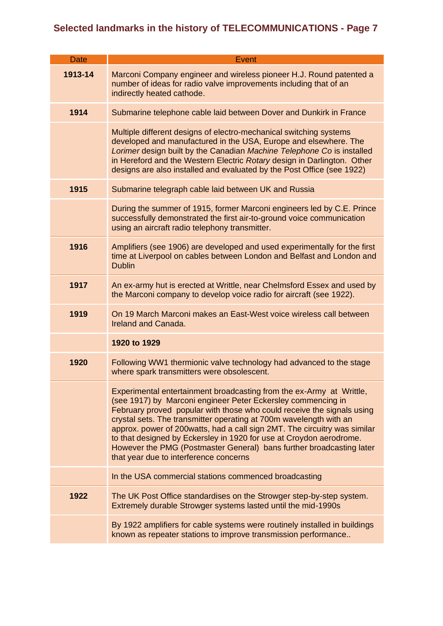| <b>Date</b> | <b>Event</b>                                                                                                                                                                                                                                                                                                                                                                                                                                                                                                                                               |
|-------------|------------------------------------------------------------------------------------------------------------------------------------------------------------------------------------------------------------------------------------------------------------------------------------------------------------------------------------------------------------------------------------------------------------------------------------------------------------------------------------------------------------------------------------------------------------|
|             |                                                                                                                                                                                                                                                                                                                                                                                                                                                                                                                                                            |
| 1913-14     | Marconi Company engineer and wireless pioneer H.J. Round patented a<br>number of ideas for radio valve improvements including that of an<br>indirectly heated cathode.                                                                                                                                                                                                                                                                                                                                                                                     |
| 1914        | Submarine telephone cable laid between Dover and Dunkirk in France                                                                                                                                                                                                                                                                                                                                                                                                                                                                                         |
|             | Multiple different designs of electro-mechanical switching systems<br>developed and manufactured in the USA, Europe and elsewhere. The<br>Lorimer design built by the Canadian Machine Telephone Co is installed<br>in Hereford and the Western Electric Rotary design in Darlington. Other<br>designs are also installed and evaluated by the Post Office (see 1922)                                                                                                                                                                                      |
| 1915        | Submarine telegraph cable laid between UK and Russia                                                                                                                                                                                                                                                                                                                                                                                                                                                                                                       |
|             | During the summer of 1915, former Marconi engineers led by C.E. Prince<br>successfully demonstrated the first air-to-ground voice communication<br>using an aircraft radio telephony transmitter.                                                                                                                                                                                                                                                                                                                                                          |
| 1916        | Amplifiers (see 1906) are developed and used experimentally for the first<br>time at Liverpool on cables between London and Belfast and London and<br><b>Dublin</b>                                                                                                                                                                                                                                                                                                                                                                                        |
| 1917        | An ex-army hut is erected at Writtle, near Chelmsford Essex and used by<br>the Marconi company to develop voice radio for aircraft (see 1922).                                                                                                                                                                                                                                                                                                                                                                                                             |
| 1919        | On 19 March Marconi makes an East-West voice wireless call between<br>Ireland and Canada.                                                                                                                                                                                                                                                                                                                                                                                                                                                                  |
|             | 1920 to 1929                                                                                                                                                                                                                                                                                                                                                                                                                                                                                                                                               |
| 1920        | Following WW1 thermionic valve technology had advanced to the stage<br>where spark transmitters were obsolescent.                                                                                                                                                                                                                                                                                                                                                                                                                                          |
|             | Experimental entertainment broadcasting from the ex-Army at Writtle,<br>(see 1917) by Marconi engineer Peter Eckersley commencing in<br>February proved popular with those who could receive the signals using<br>crystal sets. The transmitter operating at 700m wavelength with an<br>approx. power of 200watts, had a call sign 2MT. The circuitry was similar<br>to that designed by Eckersley in 1920 for use at Croydon aerodrome.<br>However the PMG (Postmaster General) bans further broadcasting later<br>that year due to interference concerns |
|             | In the USA commercial stations commenced broadcasting                                                                                                                                                                                                                                                                                                                                                                                                                                                                                                      |
| 1922        | The UK Post Office standardises on the Strowger step-by-step system.<br>Extremely durable Strowger systems lasted until the mid-1990s                                                                                                                                                                                                                                                                                                                                                                                                                      |
|             | By 1922 amplifiers for cable systems were routinely installed in buildings<br>known as repeater stations to improve transmission performance                                                                                                                                                                                                                                                                                                                                                                                                               |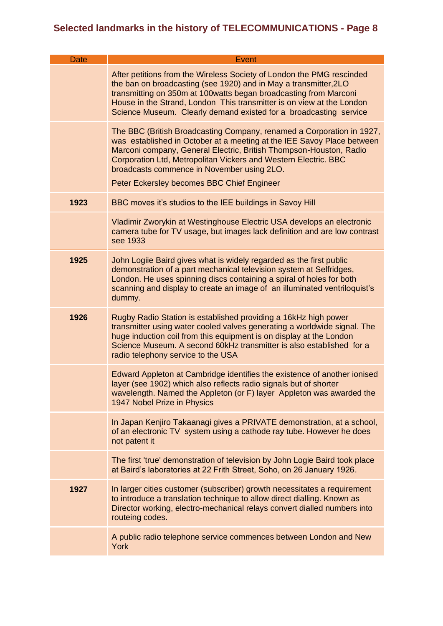| <b>Date</b> | <b>Event</b>                                                                                                                                                                                                                                                                                                                                                                         |
|-------------|--------------------------------------------------------------------------------------------------------------------------------------------------------------------------------------------------------------------------------------------------------------------------------------------------------------------------------------------------------------------------------------|
|             | After petitions from the Wireless Society of London the PMG rescinded<br>the ban on broadcasting (see 1920) and in May a transmitter, 2LO<br>transmitting on 350m at 100watts began broadcasting from Marconi<br>House in the Strand, London This transmitter is on view at the London<br>Science Museum. Clearly demand existed for a broadcasting service                          |
|             | The BBC (British Broadcasting Company, renamed a Corporation in 1927,<br>was established in October at a meeting at the IEE Savoy Place between<br>Marconi company, General Electric, British Thompson-Houston, Radio<br>Corporation Ltd, Metropolitan Vickers and Western Electric. BBC<br>broadcasts commence in November using 2LO.<br>Peter Eckersley becomes BBC Chief Engineer |
| 1923        | BBC moves it's studios to the IEE buildings in Savoy Hill                                                                                                                                                                                                                                                                                                                            |
|             | Vladimir Zworykin at Westinghouse Electric USA develops an electronic<br>camera tube for TV usage, but images lack definition and are low contrast<br>see 1933                                                                                                                                                                                                                       |
| 1925        | John Logiie Baird gives what is widely regarded as the first public<br>demonstration of a part mechanical television system at Selfridges,<br>London. He uses spinning discs containing a spiral of holes for both<br>scanning and display to create an image of an illuminated ventriloquist's<br>dummy.                                                                            |
| 1926        | Rugby Radio Station is established providing a 16kHz high power<br>transmitter using water cooled valves generating a worldwide signal. The<br>huge induction coil from this equipment is on display at the London<br>Science Museum. A second 60kHz transmitter is also established for a<br>radio telephony service to the USA                                                     |
|             | Edward Appleton at Cambridge identifies the existence of another ionised<br>layer (see 1902) which also reflects radio signals but of shorter<br>wavelength. Named the Appleton (or F) layer Appleton was awarded the<br>1947 Nobel Prize in Physics                                                                                                                                 |
|             | In Japan Kenjiro Takaanagi gives a PRIVATE demonstration, at a school,<br>of an electronic TV system using a cathode ray tube. However he does<br>not patent it                                                                                                                                                                                                                      |
|             | The first 'true' demonstration of television by John Logie Baird took place<br>at Baird's laboratories at 22 Frith Street, Soho, on 26 January 1926.                                                                                                                                                                                                                                 |
| 1927        | In larger cities customer (subscriber) growth necessitates a requirement<br>to introduce a translation technique to allow direct dialling. Known as<br>Director working, electro-mechanical relays convert dialled numbers into<br>routeing codes.                                                                                                                                   |
|             | A public radio telephone service commences between London and New<br>York                                                                                                                                                                                                                                                                                                            |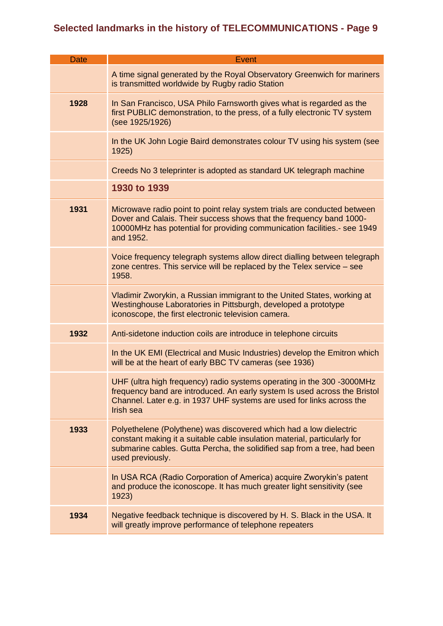| <b>Date</b> | <b>Event</b>                                                                                                                                                                                                                                    |
|-------------|-------------------------------------------------------------------------------------------------------------------------------------------------------------------------------------------------------------------------------------------------|
|             |                                                                                                                                                                                                                                                 |
|             | A time signal generated by the Royal Observatory Greenwich for mariners<br>is transmitted worldwide by Rugby radio Station                                                                                                                      |
| 1928        | In San Francisco, USA Philo Farnsworth gives what is regarded as the<br>first PUBLIC demonstration, to the press, of a fully electronic TV system<br>(see 1925/1926)                                                                            |
|             | In the UK John Logie Baird demonstrates colour TV using his system (see<br>1925)                                                                                                                                                                |
|             | Creeds No 3 teleprinter is adopted as standard UK telegraph machine                                                                                                                                                                             |
|             | 1930 to 1939                                                                                                                                                                                                                                    |
| 1931        | Microwave radio point to point relay system trials are conducted between<br>Dover and Calais. Their success shows that the frequency band 1000-<br>10000MHz has potential for providing communication facilities.- see 1949<br>and 1952.        |
|             | Voice frequency telegraph systems allow direct dialling between telegraph<br>zone centres. This service will be replaced by the Telex service - see<br>1958.                                                                                    |
|             | Vladimir Zworykin, a Russian immigrant to the United States, working at<br>Westinghouse Laboratories in Pittsburgh, developed a prototype<br>iconoscope, the first electronic television camera.                                                |
| 1932        | Anti-sidetone induction coils are introduce in telephone circuits                                                                                                                                                                               |
|             | In the UK EMI (Electrical and Music Industries) develop the Emitron which<br>will be at the heart of early BBC TV cameras (see 1936)                                                                                                            |
|             | UHF (ultra high frequency) radio systems operating in the 300 -3000MHz<br>frequency band are introduced. An early system Is used across the Bristol<br>Channel. Later e.g. in 1937 UHF systems are used for links across the<br>Irish sea       |
| 1933        | Polyethelene (Polythene) was discovered which had a low dielectric<br>constant making it a suitable cable insulation material, particularly for<br>submarine cables. Gutta Percha, the solidified sap from a tree, had been<br>used previously. |
|             | In USA RCA (Radio Corporation of America) acquire Zworykin's patent<br>and produce the iconoscope. It has much greater light sensitivity (see<br>1923)                                                                                          |
| 1934        | Negative feedback technique is discovered by H. S. Black in the USA. It<br>will greatly improve performance of telephone repeaters                                                                                                              |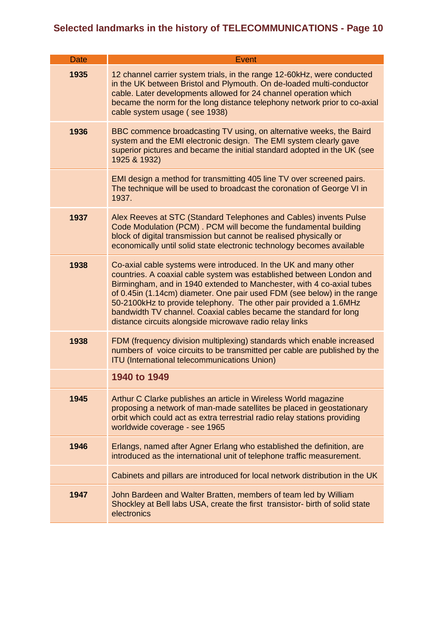| <b>Date</b> | Event                                                                                                                                                                                                                                                                                                                                                                                                                                                                                             |
|-------------|---------------------------------------------------------------------------------------------------------------------------------------------------------------------------------------------------------------------------------------------------------------------------------------------------------------------------------------------------------------------------------------------------------------------------------------------------------------------------------------------------|
| 1935        | 12 channel carrier system trials, in the range 12-60kHz, were conducted<br>in the UK between Bristol and Plymouth. On de-loaded multi-conductor<br>cable. Later developments allowed for 24 channel operation which<br>became the norm for the long distance telephony network prior to co-axial<br>cable system usage (see 1938)                                                                                                                                                                 |
| 1936        | BBC commence broadcasting TV using, on alternative weeks, the Baird<br>system and the EMI electronic design. The EMI system clearly gave<br>superior pictures and became the initial standard adopted in the UK (see<br>1925 & 1932)                                                                                                                                                                                                                                                              |
|             | EMI design a method for transmitting 405 line TV over screened pairs.<br>The technique will be used to broadcast the coronation of George VI in<br>1937.                                                                                                                                                                                                                                                                                                                                          |
| 1937        | Alex Reeves at STC (Standard Telephones and Cables) invents Pulse<br>Code Modulation (PCM). PCM will become the fundamental building<br>block of digital transmission but cannot be realised physically or<br>economically until solid state electronic technology becomes available                                                                                                                                                                                                              |
| 1938        | Co-axial cable systems were introduced. In the UK and many other<br>countries. A coaxial cable system was established between London and<br>Birmingham, and in 1940 extended to Manchester, with 4 co-axial tubes<br>of 0.45in (1.14cm) diameter. One pair used FDM (see below) in the range<br>50-2100kHz to provide telephony. The other pair provided a 1.6MHz<br>bandwidth TV channel. Coaxial cables became the standard for long<br>distance circuits alongside microwave radio relay links |
| 1938        | FDM (frequency division multiplexing) standards which enable increased<br>numbers of voice circuits to be transmitted per cable are published by the<br><b>ITU (International telecommunications Union)</b>                                                                                                                                                                                                                                                                                       |
|             | 1940 to 1949                                                                                                                                                                                                                                                                                                                                                                                                                                                                                      |
| 1945        | Arthur C Clarke publishes an article in Wireless World magazine<br>proposing a network of man-made satellites be placed in geostationary<br>orbit which could act as extra terrestrial radio relay stations providing<br>worldwide coverage - see 1965                                                                                                                                                                                                                                            |
| 1946        | Erlangs, named after Agner Erlang who established the definition, are<br>introduced as the international unit of telephone traffic measurement.                                                                                                                                                                                                                                                                                                                                                   |
|             | Cabinets and pillars are introduced for local network distribution in the UK                                                                                                                                                                                                                                                                                                                                                                                                                      |
| 1947        | John Bardeen and Walter Bratten, members of team led by William<br>Shockley at Bell labs USA, create the first transistor- birth of solid state<br>electronics                                                                                                                                                                                                                                                                                                                                    |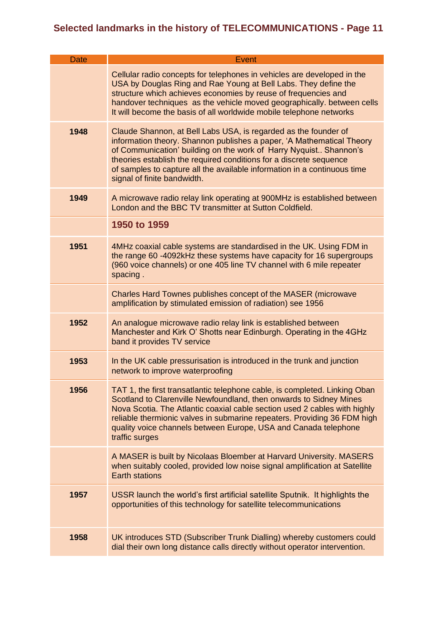| <b>Date</b> | Event                                                                                                                                                                                                                                                                                                                                                                                          |
|-------------|------------------------------------------------------------------------------------------------------------------------------------------------------------------------------------------------------------------------------------------------------------------------------------------------------------------------------------------------------------------------------------------------|
|             | Cellular radio concepts for telephones in vehicles are developed in the<br>USA by Douglas Ring and Rae Young at Bell Labs. They define the<br>structure which achieves economies by reuse of frequencies and<br>handover techniques as the vehicle moved geographically. between cells<br>It will become the basis of all worldwide mobile telephone networks                                  |
| 1948        | Claude Shannon, at Bell Labs USA, is regarded as the founder of<br>information theory. Shannon publishes a paper, 'A Mathematical Theory<br>of Communication' building on the work of Harry Nyquist Shannon's<br>theories establish the required conditions for a discrete sequence<br>of samples to capture all the available information in a continuous time<br>signal of finite bandwidth. |
| 1949        | A microwave radio relay link operating at 900MHz is established between<br>London and the BBC TV transmitter at Sutton Coldfield.                                                                                                                                                                                                                                                              |
|             | 1950 to 1959                                                                                                                                                                                                                                                                                                                                                                                   |
| 1951        | 4MHz coaxial cable systems are standardised in the UK. Using FDM in<br>the range 60 -4092kHz these systems have capacity for 16 supergroups<br>(960 voice channels) or one 405 line TV channel with 6 mile repeater<br>spacing.                                                                                                                                                                |
|             | Charles Hard Townes publishes concept of the MASER (microwave<br>amplification by stimulated emission of radiation) see 1956                                                                                                                                                                                                                                                                   |
| 1952        | An analogue microwave radio relay link is established between<br>Manchester and Kirk O' Shotts near Edinburgh. Operating in the 4GHz<br>band it provides TV service                                                                                                                                                                                                                            |
| 1953        | In the UK cable pressurisation is introduced in the trunk and junction<br>network to improve waterproofing                                                                                                                                                                                                                                                                                     |
| 1956        | TAT 1, the first transatlantic telephone cable, is completed. Linking Oban<br>Scotland to Clarenville Newfoundland, then onwards to Sidney Mines<br>Nova Scotia. The Atlantic coaxial cable section used 2 cables with highly<br>reliable thermionic valves in submarine repeaters. Providing 36 FDM high<br>quality voice channels between Europe, USA and Canada telephone<br>traffic surges |
|             | A MASER is built by Nicolaas Bloember at Harvard University. MASERS<br>when suitably cooled, provided low noise signal amplification at Satellite<br><b>Earth stations</b>                                                                                                                                                                                                                     |
| 1957        | USSR launch the world's first artificial satellite Sputnik. It highlights the<br>opportunities of this technology for satellite telecommunications                                                                                                                                                                                                                                             |
| 1958        | UK introduces STD (Subscriber Trunk Dialling) whereby customers could<br>dial their own long distance calls directly without operator intervention.                                                                                                                                                                                                                                            |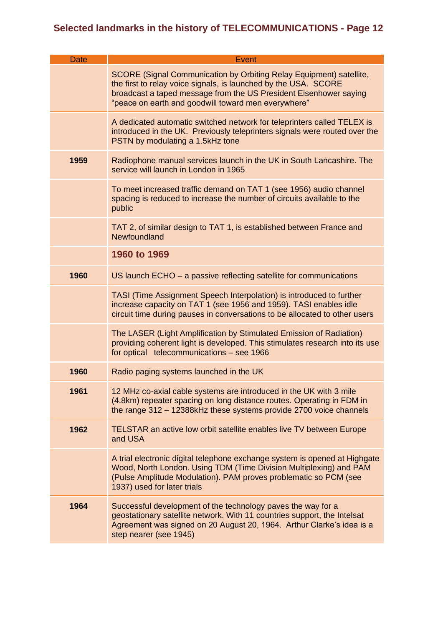| <b>Date</b> | Event                                                                                                                                                                                                                                                                     |
|-------------|---------------------------------------------------------------------------------------------------------------------------------------------------------------------------------------------------------------------------------------------------------------------------|
|             | <b>SCORE (Signal Communication by Orbiting Relay Equipment) satellite,</b><br>the first to relay voice signals, is launched by the USA. SCORE<br>broadcast a taped message from the US President Eisenhower saying<br>"peace on earth and goodwill toward men everywhere" |
|             | A dedicated automatic switched network for teleprinters called TELEX is<br>introduced in the UK. Previously teleprinters signals were routed over the<br>PSTN by modulating a 1.5kHz tone                                                                                 |
| 1959        | Radiophone manual services launch in the UK in South Lancashire. The<br>service will launch in London in 1965                                                                                                                                                             |
|             | To meet increased traffic demand on TAT 1 (see 1956) audio channel<br>spacing is reduced to increase the number of circuits available to the<br>public                                                                                                                    |
|             | TAT 2, of similar design to TAT 1, is established between France and<br>Newfoundland                                                                                                                                                                                      |
|             | 1960 to 1969                                                                                                                                                                                                                                                              |
| 1960        | US launch $ECHO - a$ passive reflecting satellite for communications                                                                                                                                                                                                      |
|             | TASI (Time Assignment Speech Interpolation) is introduced to further<br>increase capacity on TAT 1 (see 1956 and 1959). TASI enables idle<br>circuit time during pauses in conversations to be allocated to other users                                                   |
|             | The LASER (Light Amplification by Stimulated Emission of Radiation)<br>providing coherent light is developed. This stimulates research into its use<br>for optical telecommunications - see 1966                                                                          |
| 1960        | Radio paging systems launched in the UK                                                                                                                                                                                                                                   |
| 1961        | 12 MHz co-axial cable systems are introduced in the UK with 3 mile<br>(4.8km) repeater spacing on long distance routes. Operating in FDM in<br>the range 312 - 12388kHz these systems provide 2700 voice channels                                                         |
| 1962        | TELSTAR an active low orbit satellite enables live TV between Europe<br>and USA                                                                                                                                                                                           |
|             | A trial electronic digital telephone exchange system is opened at Highgate<br>Wood, North London. Using TDM (Time Division Multiplexing) and PAM<br>(Pulse Amplitude Modulation). PAM proves problematic so PCM (see<br>1937) used for later trials                       |
| 1964        | Successful development of the technology paves the way for a<br>geostationary satellite network. With 11 countries support, the Intelsat<br>Agreement was signed on 20 August 20, 1964. Arthur Clarke's idea is a<br>step nearer (see 1945)                               |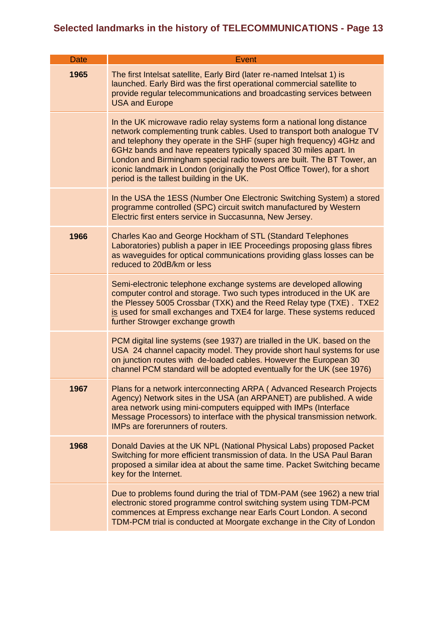| <b>Date</b> | Event                                                                                                                                                                                                                                                                                                                                                                                                                                                                                             |
|-------------|---------------------------------------------------------------------------------------------------------------------------------------------------------------------------------------------------------------------------------------------------------------------------------------------------------------------------------------------------------------------------------------------------------------------------------------------------------------------------------------------------|
| 1965        | The first Intelsat satellite, Early Bird (later re-named Intelsat 1) is<br>launched. Early Bird was the first operational commercial satellite to<br>provide regular telecommunications and broadcasting services between<br><b>USA and Europe</b>                                                                                                                                                                                                                                                |
|             | In the UK microwave radio relay systems form a national long distance<br>network complementing trunk cables. Used to transport both analogue TV<br>and telephony they operate in the SHF (super high frequency) 4GHz and<br>6GHz bands and have repeaters typically spaced 30 miles apart. In<br>London and Birmingham special radio towers are built. The BT Tower, an<br>iconic landmark in London (originally the Post Office Tower), for a short<br>period is the tallest building in the UK. |
|             | In the USA the 1ESS (Number One Electronic Switching System) a stored<br>programme controlled (SPC) circuit switch manufactured by Western<br>Electric first enters service in Succasunna, New Jersey.                                                                                                                                                                                                                                                                                            |
| 1966        | Charles Kao and George Hockham of STL (Standard Telephones<br>Laboratories) publish a paper in IEE Proceedings proposing glass fibres<br>as waveguides for optical communications providing glass losses can be<br>reduced to 20dB/km or less                                                                                                                                                                                                                                                     |
|             | Semi-electronic telephone exchange systems are developed allowing<br>computer control and storage. Two such types introduced in the UK are<br>the Plessey 5005 Crossbar (TXK) and the Reed Relay type (TXE). TXE2<br>is used for small exchanges and TXE4 for large. These systems reduced<br>further Strowger exchange growth                                                                                                                                                                    |
|             | PCM digital line systems (see 1937) are trialled in the UK. based on the<br>USA 24 channel capacity model. They provide short haul systems for use<br>on junction routes with de-loaded cables. However the European 30<br>channel PCM standard will be adopted eventually for the UK (see 1976)                                                                                                                                                                                                  |
| 1967        | Plans for a network interconnecting ARPA (Advanced Research Projects<br>Agency) Network sites in the USA (an ARPANET) are published. A wide<br>area network using mini-computers equipped with IMPs (Interface<br>Message Processors) to interface with the physical transmission network.<br>IMPs are forerunners of routers.                                                                                                                                                                    |
| 1968        | Donald Davies at the UK NPL (National Physical Labs) proposed Packet<br>Switching for more efficient transmission of data. In the USA Paul Baran<br>proposed a similar idea at about the same time. Packet Switching became<br>key for the Internet.                                                                                                                                                                                                                                              |
|             | Due to problems found during the trial of TDM-PAM (see 1962) a new trial<br>electronic stored programme control switching system using TDM-PCM<br>commences at Empress exchange near Earls Court London. A second<br>TDM-PCM trial is conducted at Moorgate exchange in the City of London                                                                                                                                                                                                        |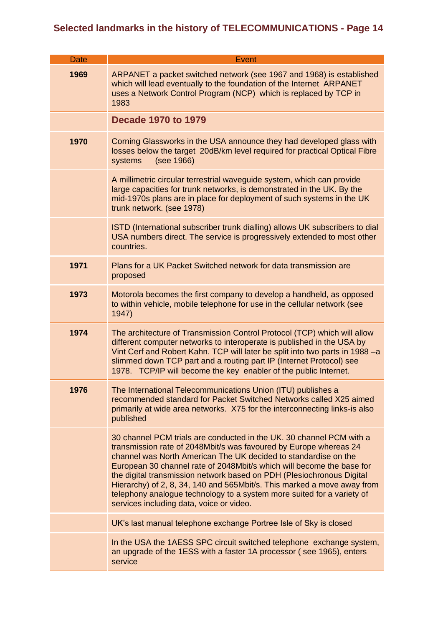| <b>Date</b> | <b>Event</b>                                                                                                                                                                                                                                                                                                                                                                                                                                                                                                                                                    |
|-------------|-----------------------------------------------------------------------------------------------------------------------------------------------------------------------------------------------------------------------------------------------------------------------------------------------------------------------------------------------------------------------------------------------------------------------------------------------------------------------------------------------------------------------------------------------------------------|
| 1969        | ARPANET a packet switched network (see 1967 and 1968) is established<br>which will lead eventually to the foundation of the Internet ARPANET<br>uses a Network Control Program (NCP) which is replaced by TCP in<br>1983                                                                                                                                                                                                                                                                                                                                        |
|             | <b>Decade 1970 to 1979</b>                                                                                                                                                                                                                                                                                                                                                                                                                                                                                                                                      |
| 1970        | Corning Glassworks in the USA announce they had developed glass with<br>losses below the target 20dB/km level required for practical Optical Fibre<br>(see 1966)<br>systems                                                                                                                                                                                                                                                                                                                                                                                     |
|             | A millimetric circular terrestrial waveguide system, which can provide<br>large capacities for trunk networks, is demonstrated in the UK. By the<br>mid-1970s plans are in place for deployment of such systems in the UK<br>trunk network. (see 1978)                                                                                                                                                                                                                                                                                                          |
|             | ISTD (International subscriber trunk dialling) allows UK subscribers to dial<br>USA numbers direct. The service is progressively extended to most other<br>countries.                                                                                                                                                                                                                                                                                                                                                                                           |
| 1971        | Plans for a UK Packet Switched network for data transmission are<br>proposed                                                                                                                                                                                                                                                                                                                                                                                                                                                                                    |
| 1973        | Motorola becomes the first company to develop a handheld, as opposed<br>to within vehicle, mobile telephone for use in the cellular network (see<br>1947)                                                                                                                                                                                                                                                                                                                                                                                                       |
| 1974        | The architecture of Transmission Control Protocol (TCP) which will allow<br>different computer networks to interoperate is published in the USA by<br>Vint Cerf and Robert Kahn. TCP will later be split into two parts in 1988 -a<br>slimmed down TCP part and a routing part IP (Internet Protocol) see<br>1978. TCP/IP will become the key enabler of the public Internet.                                                                                                                                                                                   |
| 1976        | The International Telecommunications Union (ITU) publishes a<br>recommended standard for Packet Switched Networks called X25 aimed<br>primarily at wide area networks. X75 for the interconnecting links-is also<br>published                                                                                                                                                                                                                                                                                                                                   |
|             | 30 channel PCM trials are conducted in the UK. 30 channel PCM with a<br>transmission rate of 2048Mbit/s was favoured by Europe whereas 24<br>channel was North American The UK decided to standardise on the<br>European 30 channel rate of 2048Mbit/s which will become the base for<br>the digital transmission network based on PDH (Plesiochronous Digital<br>Hierarchy) of 2, 8, 34, 140 and 565Mbit/s. This marked a move away from<br>telephony analogue technology to a system more suited for a variety of<br>services including data, voice or video. |
|             | UK's last manual telephone exchange Portree Isle of Sky is closed                                                                                                                                                                                                                                                                                                                                                                                                                                                                                               |
|             | In the USA the 1AESS SPC circuit switched telephone exchange system,<br>an upgrade of the 1ESS with a faster 1A processor (see 1965), enters<br>service                                                                                                                                                                                                                                                                                                                                                                                                         |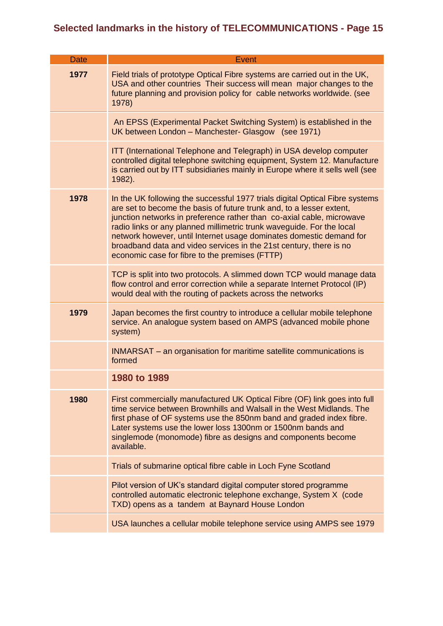| Date | Event                                                                                                                                                                                                                                                                                                                                                                                                                                                                                                 |
|------|-------------------------------------------------------------------------------------------------------------------------------------------------------------------------------------------------------------------------------------------------------------------------------------------------------------------------------------------------------------------------------------------------------------------------------------------------------------------------------------------------------|
| 1977 | Field trials of prototype Optical Fibre systems are carried out in the UK,<br>USA and other countries Their success will mean major changes to the<br>future planning and provision policy for cable networks worldwide. (see<br>1978)                                                                                                                                                                                                                                                                |
|      | An EPSS (Experimental Packet Switching System) is established in the<br>UK between London - Manchester- Glasgow (see 1971)                                                                                                                                                                                                                                                                                                                                                                            |
|      | <b>ITT</b> (International Telephone and Telegraph) in USA develop computer<br>controlled digital telephone switching equipment, System 12. Manufacture<br>is carried out by ITT subsidiaries mainly in Europe where it sells well (see<br>1982).                                                                                                                                                                                                                                                      |
| 1978 | In the UK following the successful 1977 trials digital Optical Fibre systems<br>are set to become the basis of future trunk and, to a lesser extent,<br>junction networks in preference rather than co-axial cable, microwave<br>radio links or any planned millimetric trunk waveguide. For the local<br>network however, until Internet usage dominates domestic demand for<br>broadband data and video services in the 21st century, there is no<br>economic case for fibre to the premises (FTTP) |
|      | TCP is split into two protocols. A slimmed down TCP would manage data<br>flow control and error correction while a separate Internet Protocol (IP)<br>would deal with the routing of packets across the networks                                                                                                                                                                                                                                                                                      |
| 1979 | Japan becomes the first country to introduce a cellular mobile telephone<br>service. An analogue system based on AMPS (advanced mobile phone<br>system)                                                                                                                                                                                                                                                                                                                                               |
|      | INMARSAT – an organisation for maritime satellite communications is<br>formed                                                                                                                                                                                                                                                                                                                                                                                                                         |
|      | 1980 to 1989                                                                                                                                                                                                                                                                                                                                                                                                                                                                                          |
| 1980 | First commercially manufactured UK Optical Fibre (OF) link goes into full<br>time service between Brownhills and Walsall in the West Midlands. The<br>first phase of OF systems use the 850nm band and graded index fibre.<br>Later systems use the lower loss 1300nm or 1500nm bands and<br>singlemode (monomode) fibre as designs and components become<br>available.                                                                                                                               |
|      | Trials of submarine optical fibre cable in Loch Fyne Scotland                                                                                                                                                                                                                                                                                                                                                                                                                                         |
|      | Pilot version of UK's standard digital computer stored programme<br>controlled automatic electronic telephone exchange, System X (code<br>TXD) opens as a tandem at Baynard House London                                                                                                                                                                                                                                                                                                              |
|      | USA launches a cellular mobile telephone service using AMPS see 1979                                                                                                                                                                                                                                                                                                                                                                                                                                  |
|      |                                                                                                                                                                                                                                                                                                                                                                                                                                                                                                       |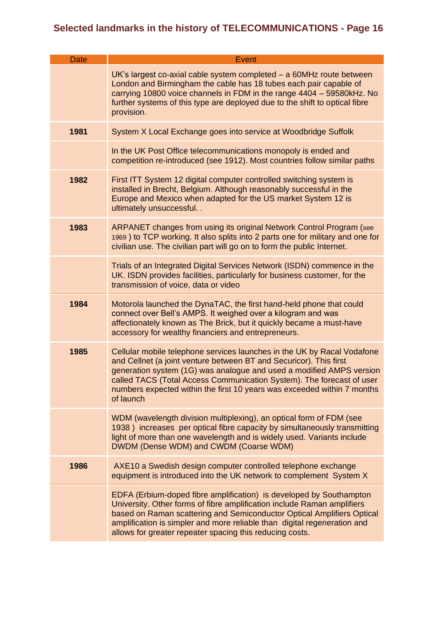| <b>Date</b> | <b>Event</b>                                                                                                                                                                                                                                                                                                                                                                           |
|-------------|----------------------------------------------------------------------------------------------------------------------------------------------------------------------------------------------------------------------------------------------------------------------------------------------------------------------------------------------------------------------------------------|
|             | $UK's$ largest co-axial cable system completed $-$ a 60MHz route between<br>London and Birmingham the cable has 18 tubes each pair capable of<br>carrying 10800 voice channels in FDM in the range 4404 - 59580kHz. No<br>further systems of this type are deployed due to the shift to optical fibre<br>provision.                                                                    |
| 1981        | System X Local Exchange goes into service at Woodbridge Suffolk                                                                                                                                                                                                                                                                                                                        |
|             | In the UK Post Office telecommunications monopoly is ended and<br>competition re-introduced (see 1912). Most countries follow similar paths                                                                                                                                                                                                                                            |
| 1982        | First ITT System 12 digital computer controlled switching system is<br>installed in Brecht, Belgium. Although reasonably successful in the<br>Europe and Mexico when adapted for the US market System 12 is<br>ultimately unsuccessful. .                                                                                                                                              |
| 1983        | <b>ARPANET changes from using its original Network Control Program (see</b><br>1969) to TCP working. It also splits into 2 parts one for military and one for<br>civilian use. The civilian part will go on to form the public Internet.                                                                                                                                               |
|             | Trials of an Integrated Digital Services Network (ISDN) commence in the<br>UK. ISDN provides facilities, particularly for business customer, for the<br>transmission of voice, data or video                                                                                                                                                                                           |
| 1984        | Motorola launched the DynaTAC, the first hand-held phone that could<br>connect over Bell's AMPS. It weighed over a kilogram and was<br>affectionately known as The Brick, but it quickly became a must-have<br>accessory for wealthy financiers and entrepreneurs.                                                                                                                     |
| 1985        | Cellular mobile telephone services launches in the UK by Racal Vodafone<br>and Cellnet (a joint venture between BT and Securicor). This first<br>generation system (1G) was analogue and used a modified AMPS version<br>called TACS (Total Access Communication System). The forecast of user<br>numbers expected within the first 10 years was exceeded within 7 months<br>of launch |
|             | WDM (wavelength division multiplexing), an optical form of FDM (see<br>1938) increases per optical fibre capacity by simultaneously transmitting<br>light of more than one wavelength and is widely used. Variants include<br>DWDM (Dense WDM) and CWDM (Coarse WDM)                                                                                                                   |
| 1986        | AXE10 a Swedish design computer controlled telephone exchange<br>equipment is introduced into the UK network to complement System X                                                                                                                                                                                                                                                    |
|             | EDFA (Erbium-doped fibre amplification) is developed by Southampton<br>University. Other forms of fibre amplification include Raman amplifiers<br>based on Raman scattering and Semiconductor Optical Amplifiers Optical<br>amplification is simpler and more reliable than digital regeneration and<br>allows for greater repeater spacing this reducing costs.                       |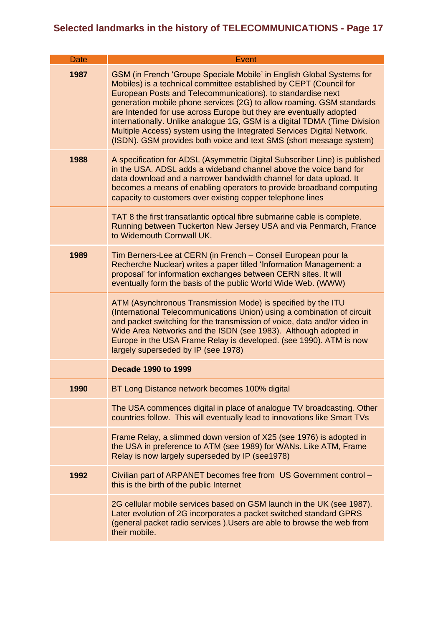| <b>Date</b> | Event                                                                                                                                                                                                                                                                                                                                                                                                                                                                                                                                                                                   |
|-------------|-----------------------------------------------------------------------------------------------------------------------------------------------------------------------------------------------------------------------------------------------------------------------------------------------------------------------------------------------------------------------------------------------------------------------------------------------------------------------------------------------------------------------------------------------------------------------------------------|
| 1987        | GSM (in French 'Groupe Speciale Mobile' in English Global Systems for<br>Mobiles) is a technical committee established by CEPT (Council for<br>European Posts and Telecommunications). to standardise next<br>generation mobile phone services (2G) to allow roaming. GSM standards<br>are Intended for use across Europe but they are eventually adopted<br>internationally. Unlike analogue 1G, GSM is a digital TDMA (Time Division<br>Multiple Access) system using the Integrated Services Digital Network.<br>(ISDN). GSM provides both voice and text SMS (short message system) |
| 1988        | A specification for ADSL (Asymmetric Digital Subscriber Line) is published<br>in the USA. ADSL adds a wideband channel above the voice band for<br>data download and a narrower bandwidth channel for data upload. It<br>becomes a means of enabling operators to provide broadband computing<br>capacity to customers over existing copper telephone lines                                                                                                                                                                                                                             |
|             | TAT 8 the first transatlantic optical fibre submarine cable is complete.<br>Running between Tuckerton New Jersey USA and via Penmarch, France<br>to Widemouth Cornwall UK.                                                                                                                                                                                                                                                                                                                                                                                                              |
| 1989        | Tim Berners-Lee at CERN (in French - Conseil European pour la<br>Recherche Nuclear) writes a paper titled 'Information Management: a<br>proposal' for information exchanges between CERN sites. It will<br>eventually form the basis of the public World Wide Web. (WWW)                                                                                                                                                                                                                                                                                                                |
|             | ATM (Asynchronous Transmission Mode) is specified by the ITU<br>(International Telecommunications Union) using a combination of circuit<br>and packet switching for the transmission of voice, data and/or video in<br>Wide Area Networks and the ISDN (see 1983). Although adopted in<br>Europe in the USA Frame Relay is developed. (see 1990). ATM is now<br>largely superseded by IP (see 1978)                                                                                                                                                                                     |
|             | <b>Decade 1990 to 1999</b>                                                                                                                                                                                                                                                                                                                                                                                                                                                                                                                                                              |
| 1990        | BT Long Distance network becomes 100% digital                                                                                                                                                                                                                                                                                                                                                                                                                                                                                                                                           |
|             | The USA commences digital in place of analogue TV broadcasting. Other<br>countries follow. This will eventually lead to innovations like Smart TVs                                                                                                                                                                                                                                                                                                                                                                                                                                      |
|             | Frame Relay, a slimmed down version of X25 (see 1976) is adopted in<br>the USA in preference to ATM (see 1989) for WANs. Like ATM, Frame<br>Relay is now largely superseded by IP (see1978)                                                                                                                                                                                                                                                                                                                                                                                             |
| 1992        | Civilian part of ARPANET becomes free from US Government control -<br>this is the birth of the public Internet                                                                                                                                                                                                                                                                                                                                                                                                                                                                          |
|             | 2G cellular mobile services based on GSM launch in the UK (see 1987).<br>Later evolution of 2G incorporates a packet switched standard GPRS<br>(general packet radio services). Users are able to browse the web from<br>their mobile.                                                                                                                                                                                                                                                                                                                                                  |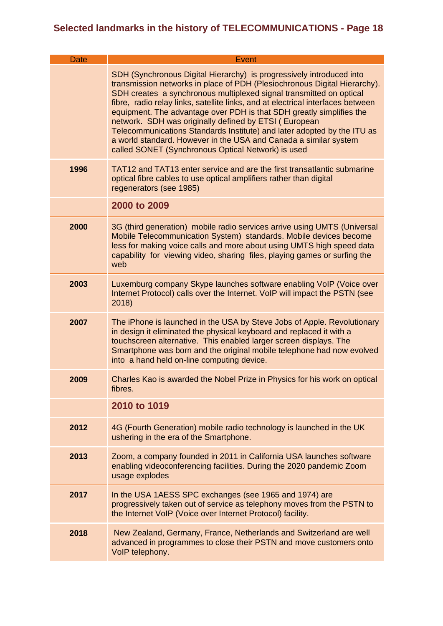| <b>Date</b> | Event                                                                                                                                                                                                                                                                                                                                                                                                                                                                                                                                                                                                                                             |
|-------------|---------------------------------------------------------------------------------------------------------------------------------------------------------------------------------------------------------------------------------------------------------------------------------------------------------------------------------------------------------------------------------------------------------------------------------------------------------------------------------------------------------------------------------------------------------------------------------------------------------------------------------------------------|
|             | SDH (Synchronous Digital Hierarchy) is progressively introduced into<br>transmission networks in place of PDH (Plesiochronous Digital Hierarchy).<br>SDH creates a synchronous multiplexed signal transmitted on optical<br>fibre, radio relay links, satellite links, and at electrical interfaces between<br>equipment. The advantage over PDH is that SDH greatly simplifies the<br>network. SDH was originally defined by ETSI (European<br>Telecommunications Standards Institute) and later adopted by the ITU as<br>a world standard. However in the USA and Canada a similar system<br>called SONET (Synchronous Optical Network) is used |
| 1996        | TAT12 and TAT13 enter service and are the first transatlantic submarine<br>optical fibre cables to use optical amplifiers rather than digital<br>regenerators (see 1985)                                                                                                                                                                                                                                                                                                                                                                                                                                                                          |
|             | 2000 to 2009                                                                                                                                                                                                                                                                                                                                                                                                                                                                                                                                                                                                                                      |
| 2000        | 3G (third generation) mobile radio services arrive using UMTS (Universal<br>Mobile Telecommunication System) standards. Mobile devices become<br>less for making voice calls and more about using UMTS high speed data<br>capability for viewing video, sharing files, playing games or surfing the<br>web                                                                                                                                                                                                                                                                                                                                        |
| 2003        | Luxemburg company Skype launches software enabling VoIP (Voice over<br>Internet Protocol) calls over the Internet. VoIP will impact the PSTN (see<br>2018)                                                                                                                                                                                                                                                                                                                                                                                                                                                                                        |
| 2007        | The iPhone is launched in the USA by Steve Jobs of Apple. Revolutionary<br>in design it eliminated the physical keyboard and replaced it with a<br>touchscreen alternative. This enabled larger screen displays. The<br>Smartphone was born and the original mobile telephone had now evolved<br>into a hand held on-line computing device.                                                                                                                                                                                                                                                                                                       |
| 2009        | Charles Kao is awarded the Nobel Prize in Physics for his work on optical<br>fibres.                                                                                                                                                                                                                                                                                                                                                                                                                                                                                                                                                              |
|             | 2010 to 1019                                                                                                                                                                                                                                                                                                                                                                                                                                                                                                                                                                                                                                      |
| 2012        | 4G (Fourth Generation) mobile radio technology is launched in the UK<br>ushering in the era of the Smartphone.                                                                                                                                                                                                                                                                                                                                                                                                                                                                                                                                    |
| 2013        | Zoom, a company founded in 2011 in California USA launches software<br>enabling videoconferencing facilities. During the 2020 pandemic Zoom<br>usage explodes                                                                                                                                                                                                                                                                                                                                                                                                                                                                                     |
| 2017        | In the USA 1AESS SPC exchanges (see 1965 and 1974) are<br>progressively taken out of service as telephony moves from the PSTN to<br>the Internet VoIP (Voice over Internet Protocol) facility.                                                                                                                                                                                                                                                                                                                                                                                                                                                    |
| 2018        | New Zealand, Germany, France, Netherlands and Switzerland are well<br>advanced in programmes to close their PSTN and move customers onto<br>VoIP telephony.                                                                                                                                                                                                                                                                                                                                                                                                                                                                                       |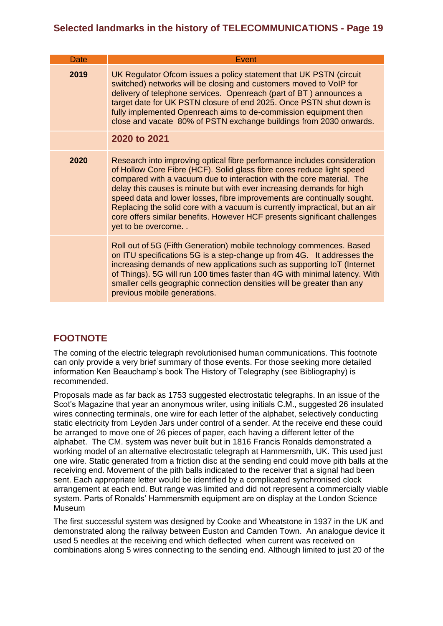| <b>Date</b> | Event                                                                                                                                                                                                                                                                                                                                                                                                                                                                                                                                                             |
|-------------|-------------------------------------------------------------------------------------------------------------------------------------------------------------------------------------------------------------------------------------------------------------------------------------------------------------------------------------------------------------------------------------------------------------------------------------------------------------------------------------------------------------------------------------------------------------------|
| 2019        | UK Regulator Ofcom issues a policy statement that UK PSTN (circuit<br>switched) networks will be closing and customers moved to VoIP for<br>delivery of telephone services. Openreach (part of BT) announces a<br>target date for UK PSTN closure of end 2025. Once PSTN shut down is<br>fully implemented Openreach aims to de-commission equipment then<br>close and vacate 80% of PSTN exchange buildings from 2030 onwards.                                                                                                                                   |
|             | 2020 to 2021                                                                                                                                                                                                                                                                                                                                                                                                                                                                                                                                                      |
| 2020        | Research into improving optical fibre performance includes consideration<br>of Hollow Core Fibre (HCF). Solid glass fibre cores reduce light speed<br>compared with a vacuum due to interaction with the core material. The<br>delay this causes is minute but with ever increasing demands for high<br>speed data and lower losses, fibre improvements are continually sought.<br>Replacing the solid core with a vacuum is currently impractical, but an air<br>core offers similar benefits. However HCF presents significant challenges<br>yet to be overcome |
|             | Roll out of 5G (Fifth Generation) mobile technology commences. Based<br>on ITU specifications 5G is a step-change up from 4G. It addresses the<br>increasing demands of new applications such as supporting IoT (Internet<br>of Things). 5G will run 100 times faster than 4G with minimal latency. With<br>smaller cells geographic connection densities will be greater than any<br>previous mobile generations.                                                                                                                                                |

#### **FOOTNOTE**

The coming of the electric telegraph revolutionised human communications. This footnote can only provide a very brief summary of those events. For those seeking more detailed information Ken Beauchamp's book The History of Telegraphy (see Bibliography) is recommended.

Proposals made as far back as 1753 suggested electrostatic telegraphs. In an issue of the Scot's Magazine that year an anonymous writer, using initials C.M., suggested 26 insulated wires connecting terminals, one wire for each letter of the alphabet, selectively conducting static electricity from Leyden Jars under control of a sender. At the receive end these could be arranged to move one of 26 pieces of paper, each having a different letter of the alphabet. The CM. system was never built but in 1816 Francis Ronalds demonstrated a working model of an alternative electrostatic telegraph at Hammersmith, UK. This used just one wire. Static generated from a friction disc at the sending end could move pith balls at the receiving end. Movement of the pith balls indicated to the receiver that a signal had been sent. Each appropriate letter would be identified by a complicated synchronised clock arrangement at each end. But range was limited and did not represent a commercially viable system. Parts of Ronalds' Hammersmith equipment are on display at the London Science Museum

The first successful system was designed by Cooke and Wheatstone in 1937 in the UK and demonstrated along the railway between Euston and Camden Town. An analogue device it used 5 needles at the receiving end which deflected when current was received on combinations along 5 wires connecting to the sending end. Although limited to just 20 of the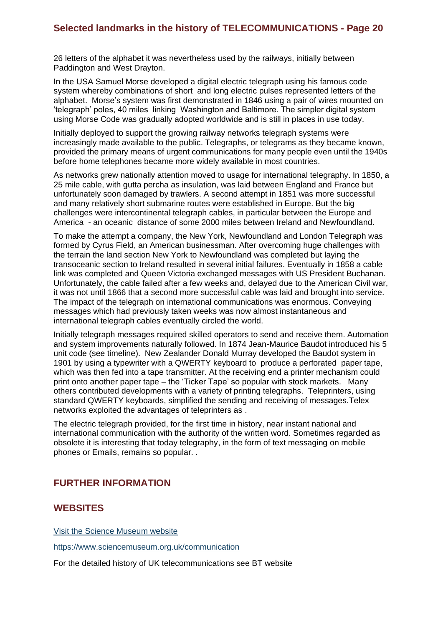26 letters of the alphabet it was nevertheless used by the railways, initially between Paddington and West Drayton.

In the USA Samuel Morse developed a digital electric telegraph using his famous code system whereby combinations of short and long electric pulses represented letters of the alphabet. Morse's system was first demonstrated in 1846 using a pair of wires mounted on 'telegraph' poles, 40 miles linking Washington and Baltimore. The simpler digital system using Morse Code was gradually adopted worldwide and is still in places in use today.

Initially deployed to support the growing railway networks telegraph systems were increasingly made available to the public. Telegraphs, or telegrams as they became known, provided the primary means of urgent communications for many people even until the 1940s before home telephones became more widely available in most countries.

As networks grew nationally attention moved to usage for international telegraphy. In 1850, a 25 mile cable, with gutta percha as insulation, was laid between England and France but unfortunately soon damaged by trawlers. A second attempt in 1851 was more successful and many relatively short submarine routes were established in Europe. But the big challenges were intercontinental telegraph cables, in particular between the Europe and America - an oceanic distance of some 2000 miles between Ireland and Newfoundland.

To make the attempt a company, the New York, Newfoundland and London Telegraph was formed by Cyrus Field, an American businessman. After overcoming huge challenges with the terrain the land section New York to Newfoundland was completed but laying the transoceanic section to Ireland resulted in several initial failures. Eventually in 1858 a cable link was completed and Queen Victoria exchanged messages with US President Buchanan. Unfortunately, the cable failed after a few weeks and, delayed due to the American Civil war, it was not until 1866 that a second more successful cable was laid and brought into service. The impact of the telegraph on international communications was enormous. Conveying messages which had previously taken weeks was now almost instantaneous and international telegraph cables eventually circled the world.

Initially telegraph messages required skilled operators to send and receive them. Automation and system improvements naturally followed. In 1874 Jean-Maurice Baudot introduced his 5 unit code (see timeline). New Zealander Donald Murray developed the Baudot system in 1901 by using a typewriter with a QWERTY keyboard to produce a perforated paper tape, which was then fed into a tape transmitter. At the receiving end a printer mechanism could print onto another paper tape – the 'Ticker Tape' so popular with stock markets. Many others contributed developments with a variety of printing telegraphs. Teleprinters, using standard QWERTY keyboards, simplified the sending and receiving of messages.Telex networks exploited the advantages of teleprinters as .

The electric telegraph provided, for the first time in history, near instant national and international communication with the authority of the written word. Sometimes regarded as obsolete it is interesting that today telegraphy, in the form of text messaging on mobile phones or Emails, remains so popular. .

#### **FURTHER INFORMATION**

#### **WEBSITES**

Visit the Science Museum website

<https://www.sciencemuseum.org.uk/communication>

For the detailed history of UK telecommunications see BT website